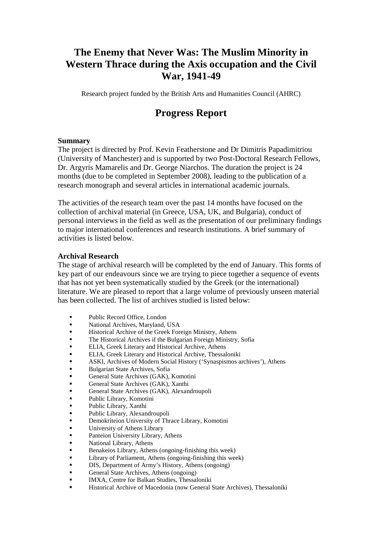# **The Enemy that Never Was: The Muslim Minority in Western Thrace during the Axis occupation and the Civil War, 1941-49**

Research project funded by the British Arts and Humanities Council (AHRC)

## **Progress Report**

#### **Summary**

The project is directed by Prof. Kevin Featherstone and Dr Dimitris Papadimitriou (University of Manchester) and is supported by two Post-Doctoral Research Fellows, Dr. Argyris Mamarelis and Dr. George Niarchos. The duration the project is 24 months (due to be completed in September 2008), leading to the publication of a research monograph and several articles in international academic journals.

The activities of the research team over the past 14 months have focused on the collection of archival material (in Greece, USA, UK, and Bulgaria), conduct of personal interviews in the field as well as the presentation of our preliminary findings to major international conferences and research institutions. A brief summary of activities is listed below.

#### **Archival Research**

The stage of archival research will be completed by the end of January. This forms of key part of our endeavours since we are trying to piece together a sequence of events that has not yet been systematically studied by the Greek (or the international) literature. We are pleased to report that a large volume of previously unseen material has been collected. The list of archives studied is listed below:

- Public Record Office, London
- National Archives, Maryland, USA
- Historical Archive of the Greek Foreign Ministry, Athens
- The Historical Archives if the Bulgarian Foreign Ministry, Sofia
- ELIA, Greek Literary and Historical Archive, Athens
- ELIA, Greek Literary and Historical Archive, Thessaloniki
- ASKI, Archives of Modern Social History ('Synaspismos archives'), Athens
- Bulgarian State Archives, Sofia
- General State Archives (GAK), Komotini
- General State Archives (GAK), Xanthi
- General State Archives (GAK), Alexandroupoli
- Public Library, Komotini
- Public Library, Xanthi
- Public Library, Alexandroupoli
- Demokriteion University of Thrace Library, Komotini
- University of Athens Library
- Panteion University Library, Athens
- National Library, Athens
- Benakeios Library, Athens (ongoing-finishing this week)
- Library of Parliament, Athens (ongoing-finishing this week)
- DIS, Department of Army's History, Athens (ongoing)
- General State Archives, Athens (ongoing)
- IMXA, Centre for Balkan Studies, Thessaloniki
- Historical Archive of Macedonia (now General State Archives), Thessaloniki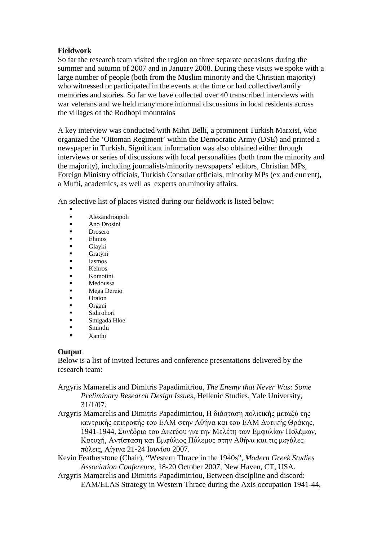### **Fieldwork**

So far the research team visited the region on three separate occasions during the summer and autumn of 2007 and in January 2008. During these visits we spoke with a large number of people (both from the Muslim minority and the Christian majority) who witnessed or participated in the events at the time or had collective/family memories and stories. So far we have collected over 40 transcribed interviews with war veterans and we held many more informal discussions in local residents across the villages of the Rodhopi mountains

A key interview was conducted with Mihri Belli, a prominent Turkish Marxist, who organized the 'Ottoman Regiment' within the Democratic Army (DSE) and printed a newspaper in Turkish. Significant information was also obtained either through interviews or series of discussions with local personalities (both from the minority and the majority), including journalists/minority newspapers' editors, Christian MPs, Foreign Ministry officials, Turkish Consular officials, minority MPs (ex and current), a Mufti, academics, as well as experts on minority affairs.

An selective list of places visited during our fieldwork is listed below:

- . Alexandroupoli
- Ano Drosini
- **Drosero**
- Ehinos
- **Glavki**
- Gratyni
- Iasmos
- Kehros
- Komotini
- Medoussa
- Mega Dereio
- Oraion
- Organi
- Sidirohori Smigada Hloe
- **Sminthi**
- **xanthi**

#### **Output**

Below is a list of invited lectures and conference presentations delivered by the research team:

- Argyris Mamarelis and Dimitris Papadimitriou, *The Enemy that Never Was: Some Preliminary Research Design Issues*, Hellenic Studies, Yale University, 31/1/07.
- Argyris Mamarelis and Dimitris Papadimitriou, Η διάσταση πολιτικής μεταξύ της κεντρικής επιτροπής του ΕΑΜ στην Αθήνα και του ΕΑΜ ∆υτικής Θράκης, 1941-1944, Συνέδριο του ∆ικτύου για την Μελέτη των Εµφυλίων Πολέµων, Κατοχή, Αντίσταση και Εµφύλιος Πόλεµος στην Αθήνα και τις µεγάλες πόλεις, Αίγινα 21-24 Ιουνίου 2007.
- Kevin Featherstone (Chair), "Western Thrace in the 1940s", *Modern Greek Studies Association Conference*, 18-20 October 2007, New Haven, CT, USA.
- Argyris Mamarelis and Dimitris Papadimitriou, Between discipline and discord: EAM/ELAS Strategy in Western Thrace during the Axis occupation 1941-44,